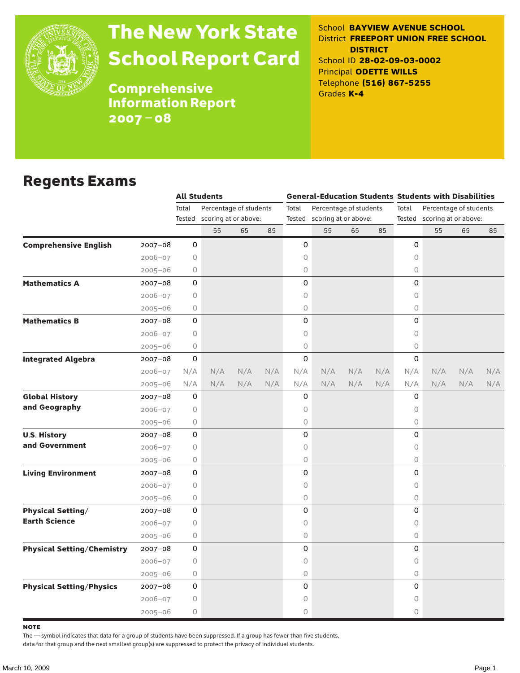

# The New York State School Report Card

School **BAYVIEW AVENUE SCHOOL** District **FREEPORT UNION FREE SCHOOL DISTRICT** School ID **28-02-09-03-0002** Principal **ODETTE WILLS** Telephone **(516) 867-5255** Grades **K-4**

**Comprehensive** Information Report 2007–08

### Regents Exams

|                                   |             |         | <b>All Students</b>         |     |     |       |                                                       |     |     | <b>General-Education Students Students with Disabilities</b> |                             |     |     |  |
|-----------------------------------|-------------|---------|-----------------------------|-----|-----|-------|-------------------------------------------------------|-----|-----|--------------------------------------------------------------|-----------------------------|-----|-----|--|
|                                   |             | Total   | Percentage of students      |     |     | Total | Percentage of students<br>Tested scoring at or above: |     |     | Total<br>Percentage of students                              |                             |     |     |  |
|                                   |             |         | Tested scoring at or above: |     |     |       |                                                       |     |     |                                                              | Tested scoring at or above: |     |     |  |
|                                   |             |         | 55                          | 65  | 85  |       | 55                                                    | 65  | 85  |                                                              | 55                          | 65  | 85  |  |
| <b>Comprehensive English</b>      | $2007 - 08$ | 0       |                             |     |     | 0     |                                                       |     |     | 0                                                            |                             |     |     |  |
|                                   | $2006 - 07$ | 0       |                             |     |     | 0     |                                                       |     |     | 0                                                            |                             |     |     |  |
|                                   | $2005 - 06$ | 0       |                             |     |     | 0     |                                                       |     |     | $\circ$                                                      |                             |     |     |  |
| <b>Mathematics A</b>              | $2007 - 08$ | 0       |                             |     |     | 0     |                                                       |     |     | 0                                                            |                             |     |     |  |
|                                   | $2006 - 07$ | 0       |                             |     |     | 0     |                                                       |     |     | 0                                                            |                             |     |     |  |
|                                   | $2005 - 06$ | 0       |                             |     |     | 0     |                                                       |     |     | $\circ$                                                      |                             |     |     |  |
| <b>Mathematics B</b>              | $2007 - 08$ | 0       |                             |     |     | 0     |                                                       |     |     | 0                                                            |                             |     |     |  |
|                                   | $2006 - 07$ | $\circ$ |                             |     |     | 0     |                                                       |     |     | $\circ$                                                      |                             |     |     |  |
|                                   | $2005 - 06$ | $\circ$ |                             |     |     | 0     |                                                       |     |     | $\circ$                                                      |                             |     |     |  |
| <b>Integrated Algebra</b>         | $2007 - 08$ | 0       |                             |     |     | 0     |                                                       |     |     | 0                                                            |                             |     |     |  |
|                                   | $2006 - 07$ | N/A     | N/A                         | N/A | N/A | N/A   | N/A                                                   | N/A | N/A | N/A                                                          | N/A                         | N/A | N/A |  |
|                                   | $2005 - 06$ | N/A     | N/A                         | N/A | N/A | N/A   | N/A                                                   | N/A | N/A | N/A                                                          | N/A                         | N/A | N/A |  |
| <b>Global History</b>             | 2007-08     | 0       |                             |     |     | 0     |                                                       |     |     | 0                                                            |                             |     |     |  |
| and Geography                     | $2006 - 07$ | 0       |                             |     |     | 0     |                                                       |     |     | 0                                                            |                             |     |     |  |
|                                   | $2005 - 06$ | 0       |                             |     |     | 0     |                                                       |     |     | $\circ$                                                      |                             |     |     |  |
| <b>U.S. History</b>               | $2007 - 08$ | 0       |                             |     |     | 0     |                                                       |     |     | 0                                                            |                             |     |     |  |
| and Government                    | $2006 - 07$ | 0       |                             |     |     | 0     |                                                       |     |     | $\circ$                                                      |                             |     |     |  |
|                                   | $2005 - 06$ | 0       |                             |     |     | 0     |                                                       |     |     | $\circ$                                                      |                             |     |     |  |
| <b>Living Environment</b>         | $2007 - 08$ | 0       |                             |     |     | 0     |                                                       |     |     | 0                                                            |                             |     |     |  |
|                                   | $2006 - 07$ | 0       |                             |     |     | 0     |                                                       |     |     | $\circ$                                                      |                             |     |     |  |
|                                   | $2005 - 06$ | 0       |                             |     |     | 0     |                                                       |     |     | $\circ$                                                      |                             |     |     |  |
| <b>Physical Setting/</b>          | 2007-08     | 0       |                             |     |     | 0     |                                                       |     |     | 0                                                            |                             |     |     |  |
| <b>Earth Science</b>              | $2006 - 07$ | $\circ$ |                             |     |     | 0     |                                                       |     |     | $\circ$                                                      |                             |     |     |  |
|                                   | $2005 - 06$ | 0       |                             |     |     | 0     |                                                       |     |     | 0                                                            |                             |     |     |  |
| <b>Physical Setting/Chemistry</b> | $2007 - 08$ | 0       |                             |     |     | 0     |                                                       |     |     | 0                                                            |                             |     |     |  |
|                                   | $2006 - 07$ | 0       |                             |     |     | 0     |                                                       |     |     | 0                                                            |                             |     |     |  |
|                                   | $2005 - 06$ | 0       |                             |     |     | 0     |                                                       |     |     | $\circ$                                                      |                             |     |     |  |
| <b>Physical Setting/Physics</b>   | $2007 - 08$ | 0       |                             |     |     | 0     |                                                       |     |     | $\Omega$                                                     |                             |     |     |  |
|                                   | $2006 - 07$ | 0       |                             |     |     | 0     |                                                       |     |     | 0                                                            |                             |     |     |  |
|                                   | $2005 - 06$ | 0       |                             |     |     | 0     |                                                       |     |     | 0                                                            |                             |     |     |  |

**NOTE** 

The — symbol indicates that data for a group of students have been suppressed. If a group has fewer than five students,

data for that group and the next smallest group(s) are suppressed to protect the privacy of individual students.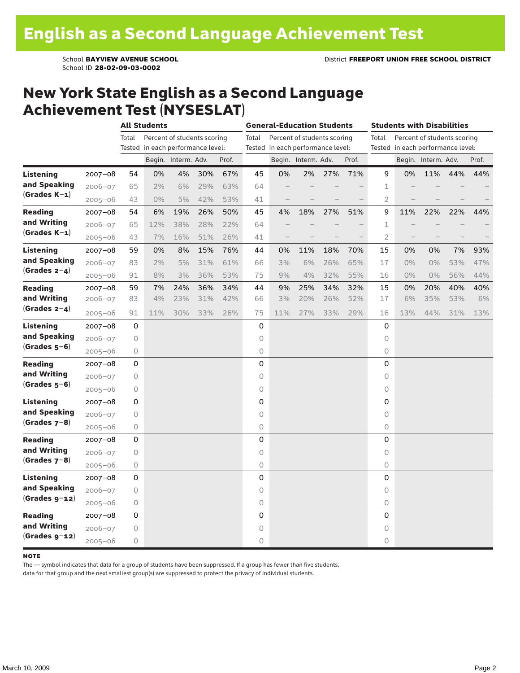School ID **28-02-09-03-0002**

### New York State English as a Second Language Achievement Test (NYSESLAT)

|                                                    |             | <b>All Students</b> |                                   |                     |     |                                   | <b>General-Education Students</b> |     |                     |                             |       | <b>Students with Disabilities</b>    |       |                     |     |       |  |
|----------------------------------------------------|-------------|---------------------|-----------------------------------|---------------------|-----|-----------------------------------|-----------------------------------|-----|---------------------|-----------------------------|-------|--------------------------------------|-------|---------------------|-----|-------|--|
|                                                    |             | Total               | Percent of students scoring       |                     |     |                                   | Total                             |     |                     | Percent of students scoring |       | Total<br>Percent of students scoring |       |                     |     |       |  |
|                                                    |             |                     | Tested in each performance level: |                     |     | Tested in each performance level: |                                   |     |                     |                             |       | Tested in each performance level:    |       |                     |     |       |  |
|                                                    |             |                     |                                   | Begin. Interm. Adv. |     | Prof.                             |                                   |     | Begin. Interm. Adv. |                             | Prof. |                                      |       | Begin. Interm. Adv. |     | Prof. |  |
| <b>Listening</b><br>and Speaking<br>$(Grades K-1)$ | $2007 - 08$ | 54                  | 0%                                | 4%                  | 30% | 67%                               | 45                                | 0%  | 2%                  | 27%                         | 71%   | 9                                    | 0%    | 11%                 | 44% | 44%   |  |
|                                                    | 2006-07     | 65                  | 2%                                | 6%                  | 29% | 63%                               | 64                                |     |                     |                             |       | 1                                    |       |                     |     |       |  |
|                                                    | $2005 - 06$ | 43                  | $0\%$                             | 5%                  | 42% | 53%                               | 41                                |     |                     |                             |       | 2                                    |       |                     |     |       |  |
| <b>Reading</b>                                     | $2007 - 08$ | 54                  | 6%                                | 19%                 | 26% | 50%                               | 45                                | 4%  | 18%                 | 27%                         | 51%   | 9                                    | 11%   | 22%                 | 22% | 44%   |  |
| and Writing                                        | $2006 - 07$ | 65                  | 12%                               | 38%                 | 28% | 22%                               | 64                                |     |                     |                             |       | 1                                    |       |                     |     |       |  |
| $(Grades K-1)$                                     | $2005 - 06$ | 43                  | 7%                                | 16%                 | 51% | 26%                               | 41                                |     |                     |                             |       | 2                                    |       |                     |     |       |  |
| Listening                                          | 2007-08     | 59                  | 0%                                | 8%                  | 15% | 76%                               | 44                                | 0%  | 11%                 | 18%                         | 70%   | 15                                   | 0%    | 0%                  | 7%  | 93%   |  |
| and Speaking                                       | $2006 - 07$ | 83                  | 2%                                | 5%                  | 31% | 61%                               | 66                                | 3%  | 6%                  | 26%                         | 65%   | 17                                   | $0\%$ | 0%                  | 53% | 47%   |  |
| (Grades $2-4$ )                                    | $2005 - 06$ | 91                  | 8%                                | 3%                  | 36% | 53%                               | 75                                | 9%  | 4%                  | 32%                         | 55%   | 16                                   | $0\%$ | 0%                  | 56% | 44%   |  |
| <b>Reading</b>                                     | $2007 - 08$ | 59                  | 7%                                | 24%                 | 36% | 34%                               | 44                                | 9%  | 25%                 | 34%                         | 32%   | 15                                   | 0%    | 20%                 | 40% | 40%   |  |
| and Writing<br>$(Grades 2-4)$                      | $2006 - 07$ | 83                  | 4%                                | 23%                 | 31% | 42%                               | 66                                | 3%  | 20%                 | 26%                         | 52%   | 17                                   | 6%    | 35%                 | 53% | 6%    |  |
|                                                    | $2005 - 06$ | 91                  | 11%                               | 30%                 | 33% | 26%                               | 75                                | 11% | 27%                 | 33%                         | 29%   | 16                                   | 13%   | 44%                 | 31% | 13%   |  |
| <b>Listening</b><br>and Speaking<br>$(Grades 5-6)$ | $2007 - 08$ | 0                   |                                   |                     |     |                                   | 0                                 |     |                     |                             |       | 0                                    |       |                     |     |       |  |
|                                                    | $2006 - 07$ | 0                   |                                   |                     |     |                                   | 0                                 |     |                     |                             |       | 0                                    |       |                     |     |       |  |
|                                                    | $2005 - 06$ | $\circ$             |                                   |                     |     |                                   | 0                                 |     |                     |                             |       | 0                                    |       |                     |     |       |  |
| Reading                                            | $2007 - 08$ | 0                   |                                   |                     |     |                                   | 0                                 |     |                     |                             |       | 0                                    |       |                     |     |       |  |
| and Writing                                        | $2006 - 07$ | 0                   |                                   |                     |     |                                   | 0                                 |     |                     |                             |       | 0                                    |       |                     |     |       |  |
| $(Grades 5-6)$                                     | $2005 - 06$ | 0                   |                                   |                     |     |                                   | 0                                 |     |                     |                             |       | 0                                    |       |                     |     |       |  |
| Listening<br>and Speaking<br>$(Grades 7-8)$        | $2007 - 08$ | 0                   |                                   |                     |     |                                   | 0                                 |     |                     |                             |       | 0                                    |       |                     |     |       |  |
|                                                    | $2006 - 07$ | 0                   |                                   |                     |     |                                   | 0                                 |     |                     |                             |       | 0                                    |       |                     |     |       |  |
|                                                    | $2005 - 06$ | 0                   |                                   |                     |     |                                   | 0                                 |     |                     |                             |       | 0                                    |       |                     |     |       |  |
| <b>Reading</b><br>and Writing<br>$(Grades 7-8)$    | $2007 - 08$ | 0                   |                                   |                     |     |                                   | 0                                 |     |                     |                             |       | 0                                    |       |                     |     |       |  |
|                                                    | $2006 - 07$ | $\circ$             |                                   |                     |     |                                   | 0                                 |     |                     |                             |       | 0                                    |       |                     |     |       |  |
|                                                    | $2005 - 06$ | $\circ$             |                                   |                     |     |                                   | 0                                 |     |                     |                             |       | 0                                    |       |                     |     |       |  |
| Listening<br>and Speaking                          | 2007-08     | 0                   |                                   |                     |     |                                   | 0                                 |     |                     |                             |       | 0                                    |       |                     |     |       |  |
|                                                    | $2006 - 07$ | 0                   |                                   |                     |     |                                   | 0                                 |     |                     |                             |       | 0                                    |       |                     |     |       |  |
| $(Grades g-12)$                                    | $2005 - 06$ | 0                   |                                   |                     |     |                                   | 0                                 |     |                     |                             |       | 0                                    |       |                     |     |       |  |
| <b>Reading</b>                                     | $2007 - 08$ | 0                   |                                   |                     |     |                                   | 0                                 |     |                     |                             |       | 0                                    |       |                     |     |       |  |
| and Writing                                        | $2006 - 07$ | 0                   |                                   |                     |     |                                   | 0                                 |     |                     |                             |       | 0                                    |       |                     |     |       |  |
| $(Grades g-12)$                                    | $2005 - 06$ | 0                   |                                   |                     |     |                                   | 0                                 |     |                     |                             |       | 0                                    |       |                     |     |       |  |

#### **NOTE**

The — symbol indicates that data for a group of students have been suppressed. If a group has fewer than five students,

data for that group and the next smallest group(s) are suppressed to protect the privacy of individual students.